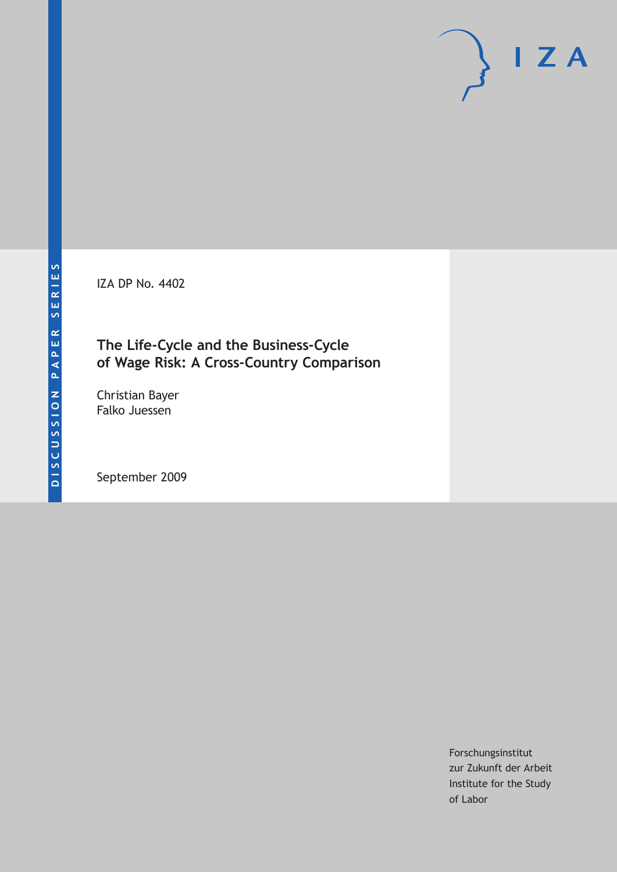IZA DP No. 4402

## **The Life-Cycle and the Business-Cycle of Wage Risk: A Cross-Country Comparison**

Christian Bayer Falko Juessen

September 2009

Forschungsinstitut zur Zukunft der Arbeit Institute for the Study of Labor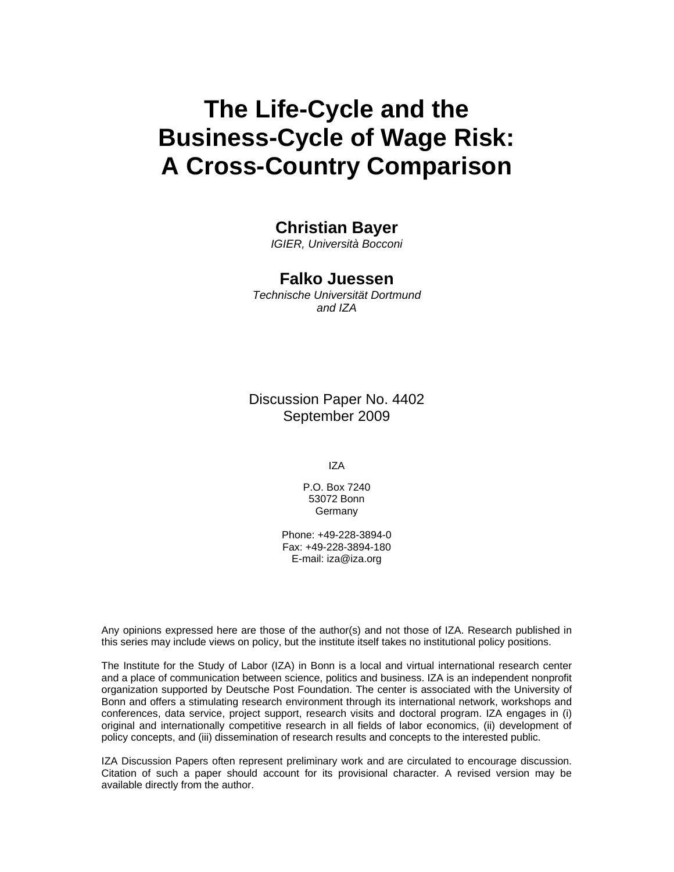# **The Life-Cycle and the Business-Cycle of Wage Risk: A Cross-Country Comparison**

### **Christian Bayer**

*IGIER, Università Bocconi* 

#### **Falko Juessen**

*Technische Universität Dortmund and IZA* 

Discussion Paper No. 4402 September 2009

IZA

P.O. Box 7240 53072 Bonn Germany

Phone: +49-228-3894-0 Fax: +49-228-3894-180 E-mail: iza@iza.org

Any opinions expressed here are those of the author(s) and not those of IZA. Research published in this series may include views on policy, but the institute itself takes no institutional policy positions.

The Institute for the Study of Labor (IZA) in Bonn is a local and virtual international research center and a place of communication between science, politics and business. IZA is an independent nonprofit organization supported by Deutsche Post Foundation. The center is associated with the University of Bonn and offers a stimulating research environment through its international network, workshops and conferences, data service, project support, research visits and doctoral program. IZA engages in (i) original and internationally competitive research in all fields of labor economics, (ii) development of policy concepts, and (iii) dissemination of research results and concepts to the interested public.

IZA Discussion Papers often represent preliminary work and are circulated to encourage discussion. Citation of such a paper should account for its provisional character. A revised version may be available directly from the author.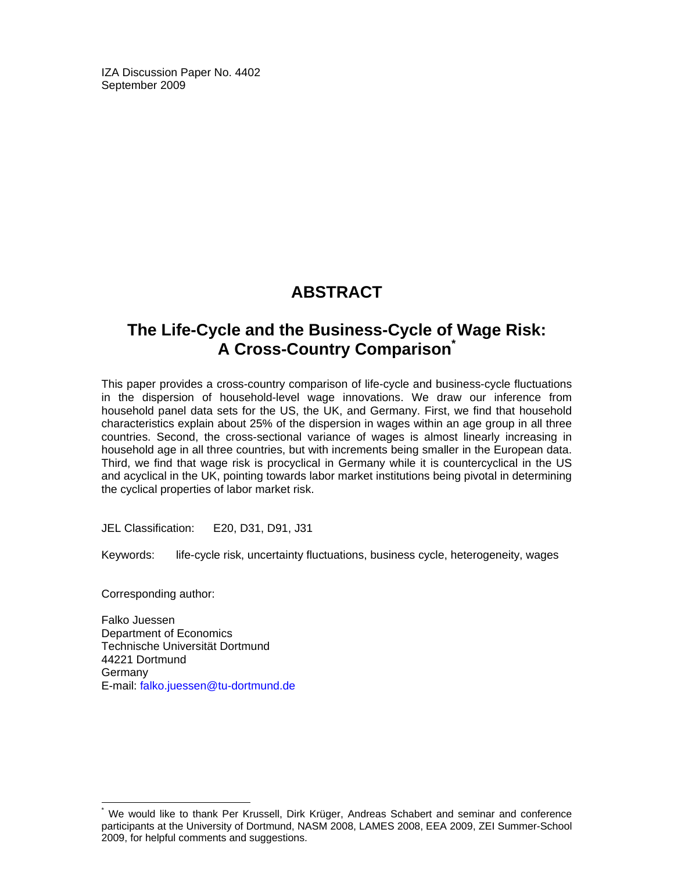IZA Discussion Paper No. 4402 September 2009

## **ABSTRACT**

## **The Life-Cycle and the Business-Cycle of Wage Risk: A Cross-Country Comparison\***

This paper provides a cross-country comparison of life-cycle and business-cycle fluctuations in the dispersion of household-level wage innovations. We draw our inference from household panel data sets for the US, the UK, and Germany. First, we find that household characteristics explain about 25% of the dispersion in wages within an age group in all three countries. Second, the cross-sectional variance of wages is almost linearly increasing in household age in all three countries, but with increments being smaller in the European data. Third, we find that wage risk is procyclical in Germany while it is countercyclical in the US and acyclical in the UK, pointing towards labor market institutions being pivotal in determining the cyclical properties of labor market risk.

JEL Classification: E20, D31, D91, J31

Keywords: life-cycle risk, uncertainty fluctuations, business cycle, heterogeneity, wages

Corresponding author:

-

Falko Juessen Department of Economics Technische Universität Dortmund 44221 Dortmund Germany E-mail: falko.juessen@tu-dortmund.de

<sup>\*</sup> We would like to thank Per Krussell, Dirk Krüger, Andreas Schabert and seminar and conference participants at the University of Dortmund, NASM 2008, LAMES 2008, EEA 2009, ZEI Summer-School 2009, for helpful comments and suggestions.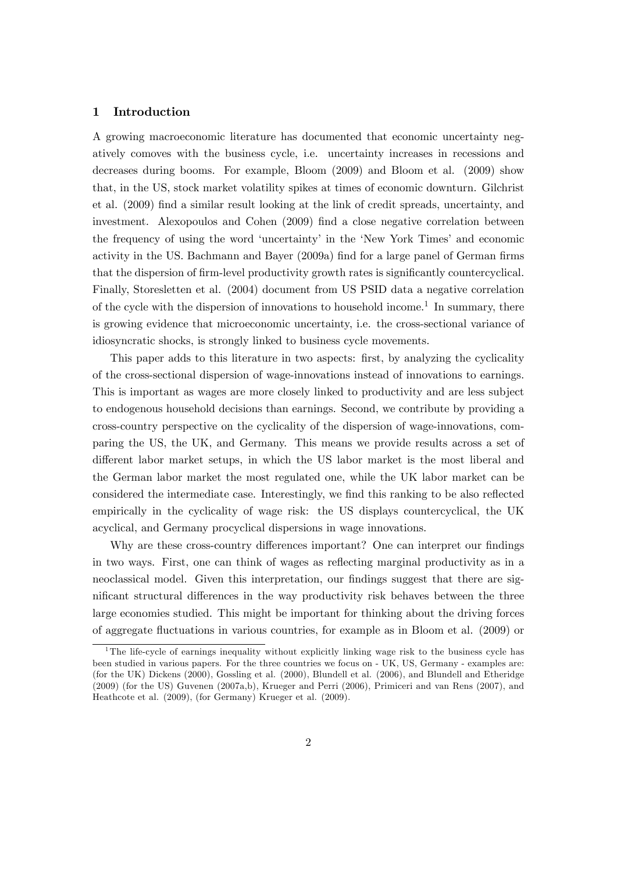#### 1 Introduction

A growing macroeconomic literature has documented that economic uncertainty negatively comoves with the business cycle, i.e. uncertainty increases in recessions and decreases during booms. For example, Bloom (2009) and Bloom et al. (2009) show that, in the US, stock market volatility spikes at times of economic downturn. Gilchrist et al. (2009) Önd a similar result looking at the link of credit spreads, uncertainty, and investment. Alexopoulos and Cohen (2009) find a close negative correlation between the frequency of using the word 'uncertainty' in the 'New York Times' and economic activity in the US. Bachmann and Bayer (2009a) find for a large panel of German firms that the dispersion of firm-level productivity growth rates is significantly countercyclical. Finally, Storesletten et al. (2004) document from US PSID data a negative correlation of the cycle with the dispersion of innovations to household income.<sup>1</sup> In summary, there is growing evidence that microeconomic uncertainty, i.e. the cross-sectional variance of idiosyncratic shocks, is strongly linked to business cycle movements.

This paper adds to this literature in two aspects: first, by analyzing the cyclicality of the cross-sectional dispersion of wage-innovations instead of innovations to earnings. This is important as wages are more closely linked to productivity and are less subject to endogenous household decisions than earnings. Second, we contribute by providing a cross-country perspective on the cyclicality of the dispersion of wage-innovations, comparing the US, the UK, and Germany. This means we provide results across a set of different labor market setups, in which the US labor market is the most liberal and the German labor market the most regulated one, while the UK labor market can be considered the intermediate case. Interestingly, we find this ranking to be also reflected empirically in the cyclicality of wage risk: the US displays countercyclical, the UK acyclical, and Germany procyclical dispersions in wage innovations.

Why are these cross-country differences important? One can interpret our findings in two ways. First, one can think of wages as reflecting marginal productivity as in a neoclassical model. Given this interpretation, our findings suggest that there are significant structural differences in the way productivity risk behaves between the three large economies studied. This might be important for thinking about the driving forces of aggregate áuctuations in various countries, for example as in Bloom et al. (2009) or

<sup>&</sup>lt;sup>1</sup>The life-cycle of earnings inequality without explicitly linking wage risk to the business cycle has been studied in various papers. For the three countries we focus on - UK, US, Germany - examples are: (for the UK) Dickens (2000), Gossling et al. (2000), Blundell et al. (2006), and Blundell and Etheridge (2009) (for the US) Guvenen (2007a,b), Krueger and Perri (2006), Primiceri and van Rens (2007), and Heathcote et al. (2009), (for Germany) Krueger et al. (2009).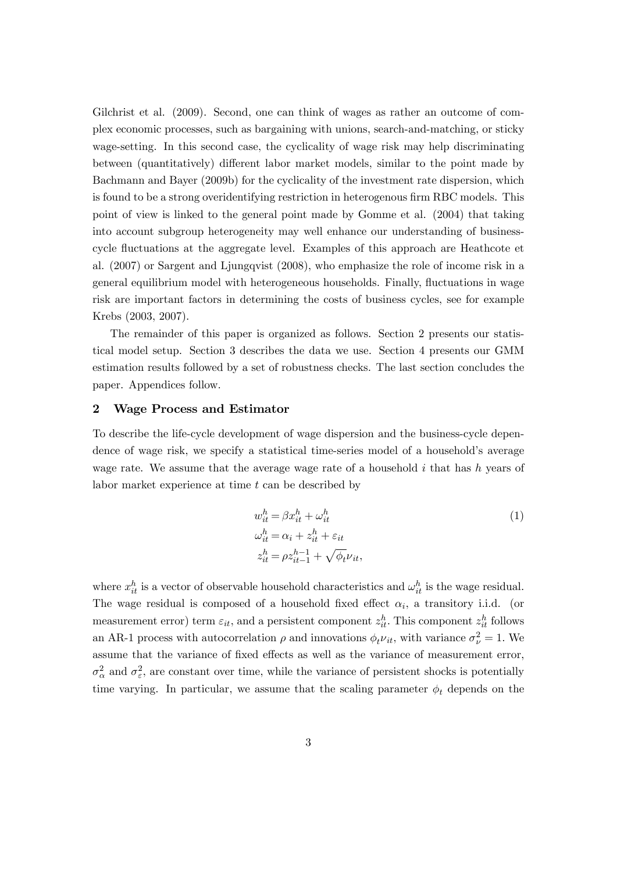Gilchrist et al. (2009). Second, one can think of wages as rather an outcome of complex economic processes, such as bargaining with unions, search-and-matching, or sticky wage-setting. In this second case, the cyclicality of wage risk may help discriminating between (quantitatively) different labor market models, similar to the point made by Bachmann and Bayer (2009b) for the cyclicality of the investment rate dispersion, which is found to be a strong overidentifying restriction in heterogenous firm RBC models. This point of view is linked to the general point made by Gomme et al. (2004) that taking into account subgroup heterogeneity may well enhance our understanding of businesscycle áuctuations at the aggregate level. Examples of this approach are Heathcote et al. (2007) or Sargent and Ljungqvist (2008), who emphasize the role of income risk in a general equilibrium model with heterogeneous households. Finally, fluctuations in wage risk are important factors in determining the costs of business cycles, see for example Krebs (2003, 2007).

The remainder of this paper is organized as follows. Section 2 presents our statistical model setup. Section 3 describes the data we use. Section 4 presents our GMM estimation results followed by a set of robustness checks. The last section concludes the paper. Appendices follow.

#### 2 Wage Process and Estimator

To describe the life-cycle development of wage dispersion and the business-cycle dependence of wage risk, we specify a statistical time-series model of a household's average wage rate. We assume that the average wage rate of a household  $i$  that has  $h$  years of labor market experience at time t can be described by

$$
w_{it}^{h} = \beta x_{it}^{h} + \omega_{it}^{h}
$$
  
\n
$$
\omega_{it}^{h} = \alpha_i + z_{it}^{h} + \varepsilon_{it}
$$
  
\n
$$
z_{it}^{h} = \rho z_{it-1}^{h-1} + \sqrt{\phi_t} \nu_{it},
$$
\n(1)

where  $x_{it}^h$  is a vector of observable household characteristics and  $\omega_{it}^h$  is the wage residual. The wage residual is composed of a household fixed effect  $\alpha_i$ , a transitory i.i.d. (or measurement error) term  $\varepsilon_{it}$ , and a persistent component  $z_{it}^h$ . This component  $z_{it}^h$  follows an AR-1 process with autocorrelation  $\rho$  and innovations  $\phi_t \nu_{it}$ , with variance  $\sigma_{\nu}^2 = 1$ . We assume that the variance of fixed effects as well as the variance of measurement error,  $\sigma_{\alpha}^2$  and  $\sigma_{\varepsilon}^2$ , are constant over time, while the variance of persistent shocks is potentially time varying. In particular, we assume that the scaling parameter  $\phi_t$  depends on the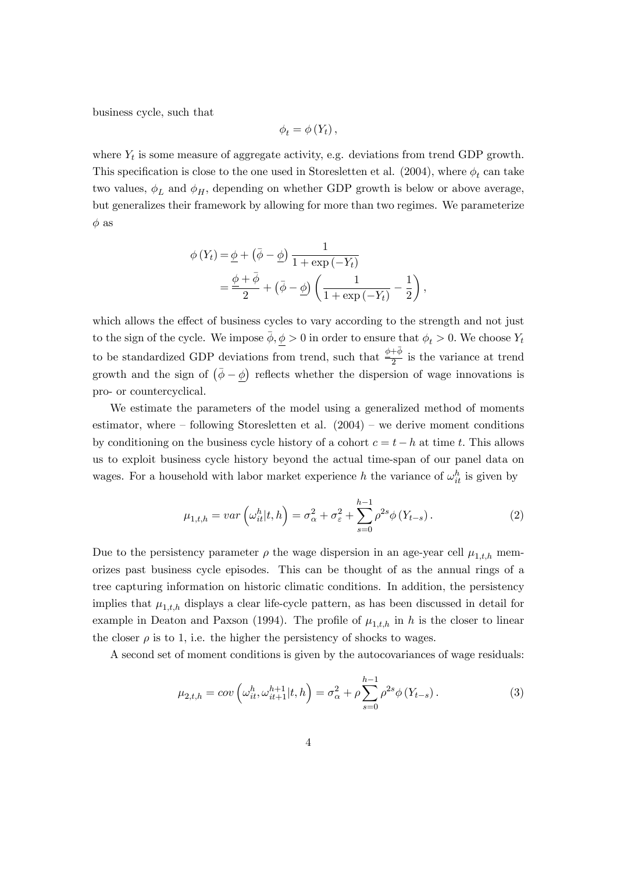business cycle, such that

$$
\phi_t = \phi(Y_t),
$$

where  $Y_t$  is some measure of aggregate activity, e.g. deviations from trend GDP growth. This specification is close to the one used in Storesletten et al. (2004), where  $\phi_t$  can take two values,  $\phi_L$  and  $\phi_H$ , depending on whether GDP growth is below or above average, but generalizes their framework by allowing for more than two regimes. We parameterize  $\phi$  as

$$
\phi(Y_t) = \underline{\phi} + (\overline{\phi} - \underline{\phi}) \frac{1}{1 + \exp(-Y_t)}
$$
  
= 
$$
\frac{\underline{\phi} + \overline{\phi}}{2} + (\overline{\phi} - \underline{\phi}) \left( \frac{1}{1 + \exp(-Y_t)} - \frac{1}{2} \right),
$$

which allows the effect of business cycles to vary according to the strength and not just to the sign of the cycle. We impose  $\bar{\phi}, \phi > 0$  in order to ensure that  $\phi_t > 0$ . We choose  $Y_t$ to be standardized GDP deviations from trend, such that  $\frac{\phi+\bar{\phi}}{2}$  is the variance at trend growth and the sign of  $(\bar{\phi} - \underline{\phi})$  reflects whether the dispersion of wage innovations is pro- or countercyclical.

We estimate the parameters of the model using a generalized method of moments estimator, where  $\overline{\phantom{a}}$  following Storesletten et al. (2004)  $\overline{\phantom{a}}$  we derive moment conditions by conditioning on the business cycle history of a cohort  $c = t - h$  at time t. This allows us to exploit business cycle history beyond the actual time-span of our panel data on wages. For a household with labor market experience h the variance of  $\omega_{it}^h$  is given by

$$
\mu_{1,t,h} = var\left(\omega_{it}^h | t, h\right) = \sigma_\alpha^2 + \sigma_\varepsilon^2 + \sum_{s=0}^{h-1} \rho^{2s} \phi\left(Y_{t-s}\right). \tag{2}
$$

Due to the persistency parameter  $\rho$  the wage dispersion in an age-year cell  $\mu_{1,t,h}$  memorizes past business cycle episodes. This can be thought of as the annual rings of a tree capturing information on historic climatic conditions. In addition, the persistency implies that  $\mu_{1,t,h}$  displays a clear life-cycle pattern, as has been discussed in detail for example in Deaton and Paxson (1994). The profile of  $\mu_{1,t,h}$  in h is the closer to linear the closer  $\rho$  is to 1, i.e. the higher the persistency of shocks to wages.

A second set of moment conditions is given by the autocovariances of wage residuals:

$$
\mu_{2,t,h} = cov\left(\omega_{it}^h, \omega_{it+1}^{h+1} | t, h\right) = \sigma_{\alpha}^2 + \rho \sum_{s=0}^{h-1} \rho^{2s} \phi\left(Y_{t-s}\right). \tag{3}
$$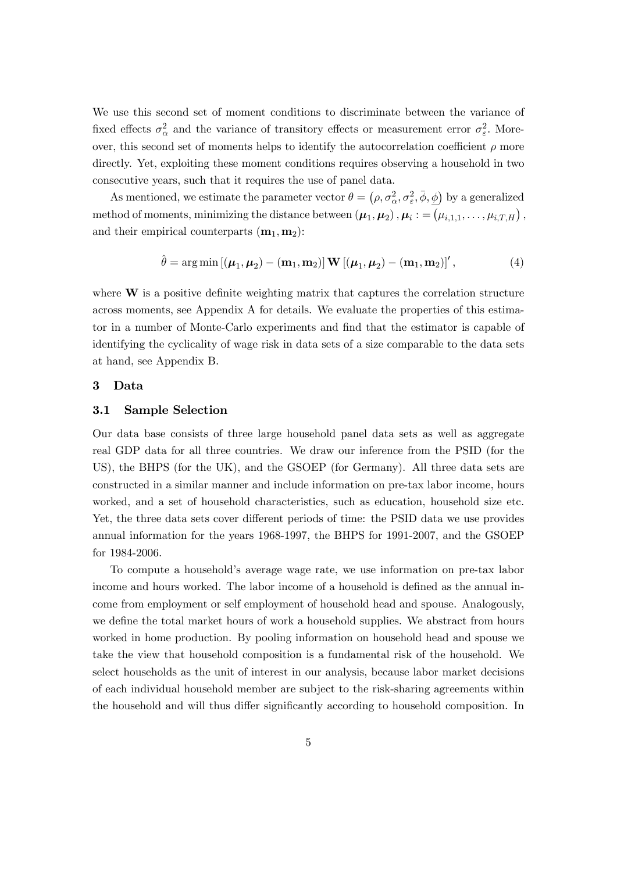We use this second set of moment conditions to discriminate between the variance of fixed effects  $\sigma_{\alpha}^2$  and the variance of transitory effects or measurement error  $\sigma_{\varepsilon}^2$ . Moreover, this second set of moments helps to identify the autocorrelation coefficient  $\rho$  more directly. Yet, exploiting these moment conditions requires observing a household in two consecutive years, such that it requires the use of panel data.

As mentioned, we estimate the parameter vector  $\theta = (\rho, \sigma_{\alpha}^2, \sigma_{\varepsilon}^2, \bar{\phi}, \underline{\phi})$  by a generalized method of moments, minimizing the distance between  $(\mu_1, \mu_2)$  ,  $\mu_i := (\mu_{i,1,1}, \ldots, \mu_{i,T,H})$  , and their empirical counterparts  $(m_1, m_2)$ :

$$
\hat{\theta} = \arg \min \left[ (\boldsymbol{\mu}_1, \boldsymbol{\mu}_2) - (\mathbf{m}_1, \mathbf{m}_2) \right] \mathbf{W} \left[ (\boldsymbol{\mu}_1, \boldsymbol{\mu}_2) - (\mathbf{m}_1, \mathbf{m}_2) \right], \tag{4}
$$

where  $W$  is a positive definite weighting matrix that captures the correlation structure across moments, see Appendix A for details. We evaluate the properties of this estimator in a number of Monte-Carlo experiments and find that the estimator is capable of identifying the cyclicality of wage risk in data sets of a size comparable to the data sets at hand, see Appendix B.

#### 3 Data

#### 3.1 Sample Selection

Our data base consists of three large household panel data sets as well as aggregate real GDP data for all three countries. We draw our inference from the PSID (for the US), the BHPS (for the UK), and the GSOEP (for Germany). All three data sets are constructed in a similar manner and include information on pre-tax labor income, hours worked, and a set of household characteristics, such as education, household size etc. Yet, the three data sets cover different periods of time: the PSID data we use provides annual information for the years 1968-1997, the BHPS for 1991-2007, and the GSOEP for 1984-2006.

To compute a householdís average wage rate, we use information on pre-tax labor income and hours worked. The labor income of a household is defined as the annual income from employment or self employment of household head and spouse. Analogously, we define the total market hours of work a household supplies. We abstract from hours worked in home production. By pooling information on household head and spouse we take the view that household composition is a fundamental risk of the household. We select households as the unit of interest in our analysis, because labor market decisions of each individual household member are subject to the risk-sharing agreements within the household and will thus differ significantly according to household composition. In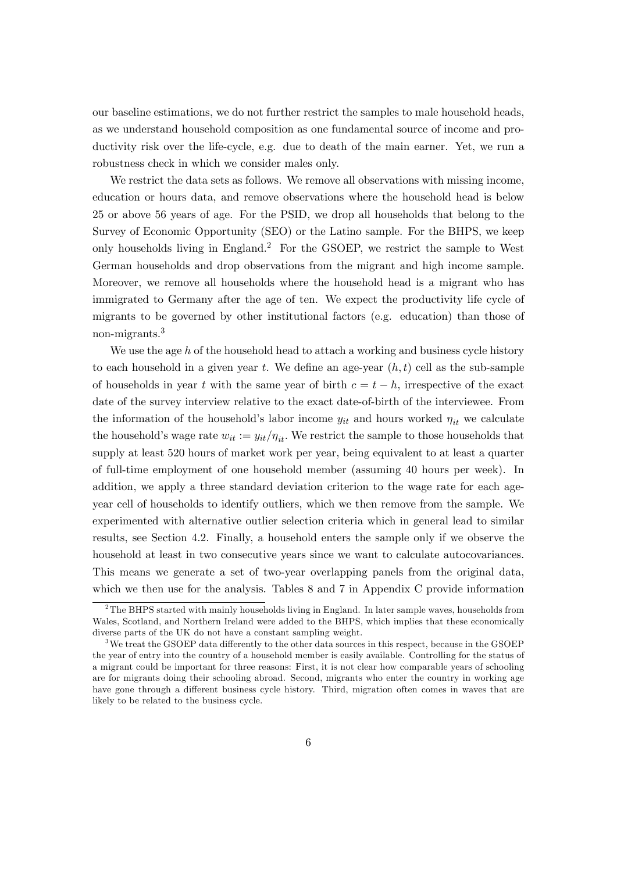our baseline estimations, we do not further restrict the samples to male household heads, as we understand household composition as one fundamental source of income and productivity risk over the life-cycle, e.g. due to death of the main earner. Yet, we run a robustness check in which we consider males only.

We restrict the data sets as follows. We remove all observations with missing income, education or hours data, and remove observations where the household head is below 25 or above 56 years of age. For the PSID, we drop all households that belong to the Survey of Economic Opportunity (SEO) or the Latino sample. For the BHPS, we keep only households living in England.<sup>2</sup> For the GSOEP, we restrict the sample to West German households and drop observations from the migrant and high income sample. Moreover, we remove all households where the household head is a migrant who has immigrated to Germany after the age of ten. We expect the productivity life cycle of migrants to be governed by other institutional factors (e.g. education) than those of non-migrants.<sup>3</sup>

We use the age  $h$  of the household head to attach a working and business cycle history to each household in a given year t. We define an age-year  $(h, t)$  cell as the sub-sample of households in year t with the same year of birth  $c = t - h$ , irrespective of the exact date of the survey interview relative to the exact date-of-birth of the interviewee. From the information of the household's labor income  $y_{it}$  and hours worked  $\eta_{it}$  we calculate the household's wage rate  $w_{it} := y_{it}/\eta_{it}$ . We restrict the sample to those households that supply at least 520 hours of market work per year, being equivalent to at least a quarter of full-time employment of one household member (assuming 40 hours per week). In addition, we apply a three standard deviation criterion to the wage rate for each ageyear cell of households to identify outliers, which we then remove from the sample. We experimented with alternative outlier selection criteria which in general lead to similar results, see Section 4.2. Finally, a household enters the sample only if we observe the household at least in two consecutive years since we want to calculate autocovariances. This means we generate a set of two-year overlapping panels from the original data, which we then use for the analysis. Tables 8 and 7 in Appendix C provide information

 $2$ The BHPS started with mainly households living in England. In later sample waves, households from Wales, Scotland, and Northern Ireland were added to the BHPS, which implies that these economically diverse parts of the UK do not have a constant sampling weight.

<sup>&</sup>lt;sup>3</sup>We treat the GSOEP data differently to the other data sources in this respect, because in the GSOEP the year of entry into the country of a household member is easily available. Controlling for the status of a migrant could be important for three reasons: First, it is not clear how comparable years of schooling are for migrants doing their schooling abroad. Second, migrants who enter the country in working age have gone through a different business cycle history. Third, migration often comes in waves that are likely to be related to the business cycle.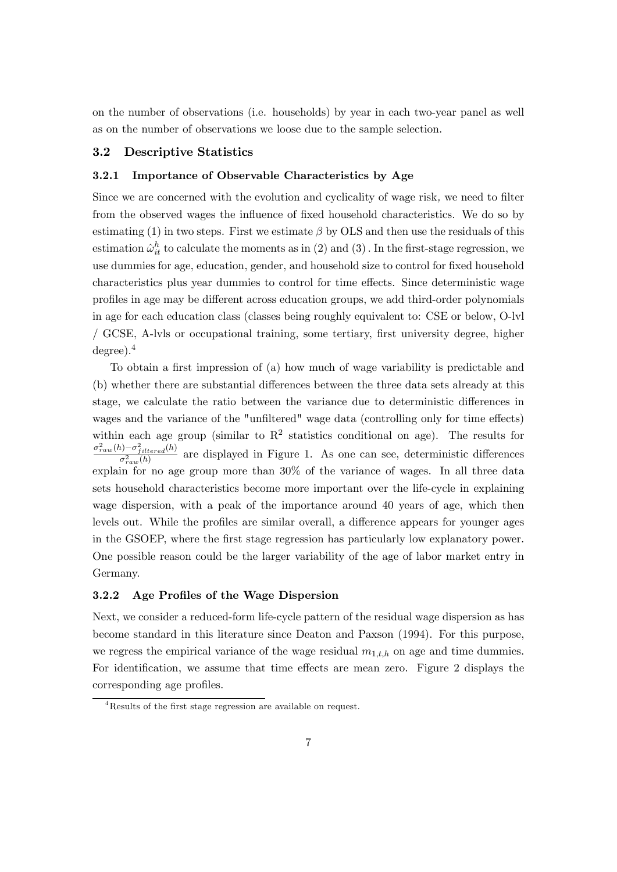on the number of observations (i.e. households) by year in each two-year panel as well as on the number of observations we loose due to the sample selection.

#### 3.2 Descriptive Statistics

#### 3.2.1 Importance of Observable Characteristics by Age

Since we are concerned with the evolution and cyclicality of wage risk, we need to filter from the observed wages the influence of fixed household characteristics. We do so by estimating (1) in two steps. First we estimate  $\beta$  by OLS and then use the residuals of this estimation  $\hat{\omega}_{it}^h$  to calculate the moments as in (2) and (3). In the first-stage regression, we use dummies for age, education, gender, and household size to control for fixed household characteristics plus year dummies to control for time effects. Since deterministic wage profiles in age may be different across education groups, we add third-order polynomials in age for each education class (classes being roughly equivalent to: CSE or below, O-lvl / GCSE, A-lvls or occupational training, some tertiary, Örst university degree, higher degree).<sup>4</sup>

To obtain a first impression of (a) how much of wage variability is predictable and (b) whether there are substantial differences between the three data sets already at this stage, we calculate the ratio between the variance due to deterministic differences in wages and the variance of the "unfiltered" wage data (controlling only for time effects) within each age group (similar to  $\mathbb{R}^2$  statistics conditional on age). The results for  $\sigma_{raw}^2(h) - \sigma_{filtered}^2(h)$  $\frac{\partial^2 f^{S}}{\partial^2 f_{aw}(h)}$  are displayed in Figure 1. As one can see, deterministic differences explain for no age group more than 30% of the variance of wages. In all three data sets household characteristics become more important over the life-cycle in explaining wage dispersion, with a peak of the importance around 40 years of age, which then levels out. While the profiles are similar overall, a difference appears for younger ages in the GSOEP, where the Örst stage regression has particularly low explanatory power. One possible reason could be the larger variability of the age of labor market entry in Germany.

#### 3.2.2 Age Profiles of the Wage Dispersion

Next, we consider a reduced-form life-cycle pattern of the residual wage dispersion as has become standard in this literature since Deaton and Paxson (1994). For this purpose, we regress the empirical variance of the wage residual  $m_{1,t,h}$  on age and time dummies. For identification, we assume that time effects are mean zero. Figure 2 displays the corresponding age profiles.

<sup>&</sup>lt;sup>4</sup>Results of the first stage regression are available on request.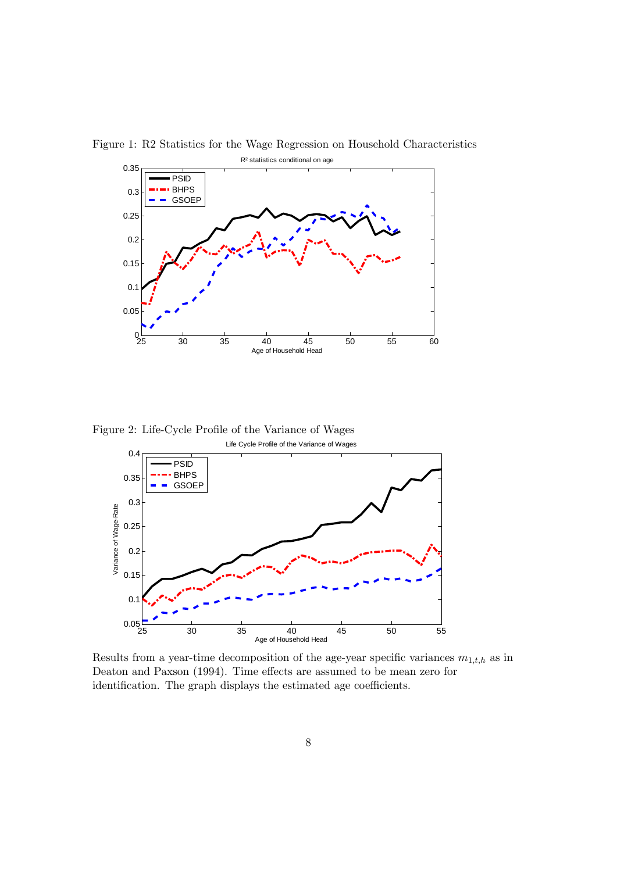

Figure 1: R2 Statistics for the Wage Regression on Household Characteristics

Figure 2: Life-Cycle Profile of the Variance of Wages Life Cycle Profile of the Variance of Wages



Results from a year-time decomposition of the age-year specific variances  $m_{1,t,h}$  as in Deaton and Paxson (1994). Time effects are assumed to be mean zero for identification. The graph displays the estimated age coefficients.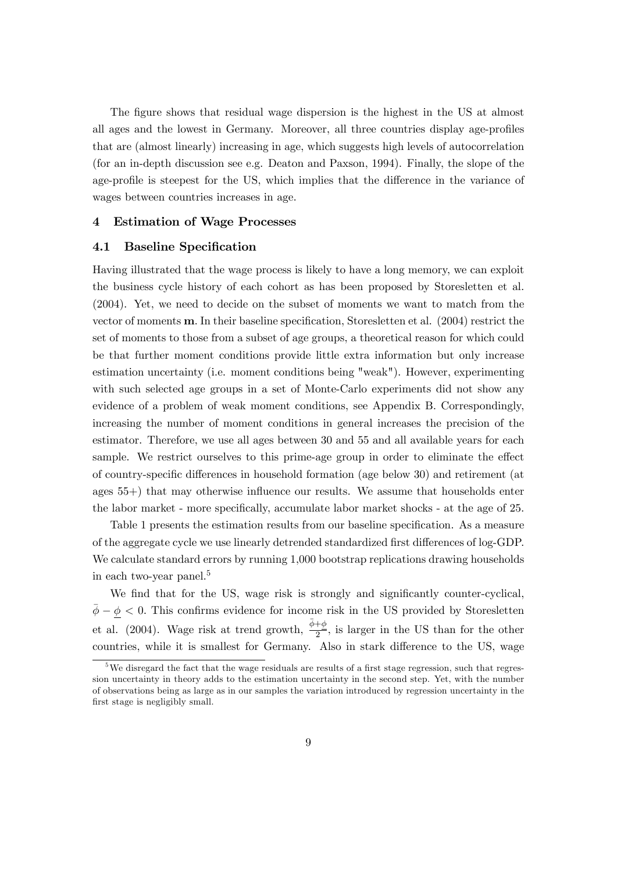The figure shows that residual wage dispersion is the highest in the US at almost all ages and the lowest in Germany. Moreover, all three countries display age-profiles that are (almost linearly) increasing in age, which suggests high levels of autocorrelation (for an in-depth discussion see e.g. Deaton and Paxson, 1994). Finally, the slope of the age-profile is steepest for the US, which implies that the difference in the variance of wages between countries increases in age.

#### 4 Estimation of Wage Processes

#### 4.1 Baseline Specification

Having illustrated that the wage process is likely to have a long memory, we can exploit the business cycle history of each cohort as has been proposed by Storesletten et al. (2004). Yet, we need to decide on the subset of moments we want to match from the vector of moments **m**. In their baseline specification, Storesletten et al. (2004) restrict the set of moments to those from a subset of age groups, a theoretical reason for which could be that further moment conditions provide little extra information but only increase estimation uncertainty (i.e. moment conditions being "weak"). However, experimenting with such selected age groups in a set of Monte-Carlo experiments did not show any evidence of a problem of weak moment conditions, see Appendix B. Correspondingly, increasing the number of moment conditions in general increases the precision of the estimator. Therefore, we use all ages between 30 and 55 and all available years for each sample. We restrict ourselves to this prime-age group in order to eliminate the effect of country-specific differences in household formation (age below 30) and retirement (at ages  $55+$ ) that may otherwise influence our results. We assume that households enter the labor market - more specifically, accumulate labor market shocks - at the age of 25.

Table 1 presents the estimation results from our baseline specification. As a measure of the aggregate cycle we use linearly detrended standardized first differences of log-GDP. We calculate standard errors by running  $1,000$  bootstrap replications drawing households in each two-year panel.<sup>5</sup>

We find that for the US, wage risk is strongly and significantly counter-cyclical,  $\bar{\phi} - \phi < 0$ . This confirms evidence for income risk in the US provided by Storesletten et al. (2004). Wage risk at trend growth,  $\frac{\bar{\phi}+\phi}{2}$ , is larger in the US than for the other countries, while it is smallest for Germany. Also in stark difference to the US, wage

 $5$ We disregard the fact that the wage residuals are results of a first stage regression, such that regression uncertainty in theory adds to the estimation uncertainty in the second step. Yet, with the number of observations being as large as in our samples the variation introduced by regression uncertainty in the first stage is negligibly small.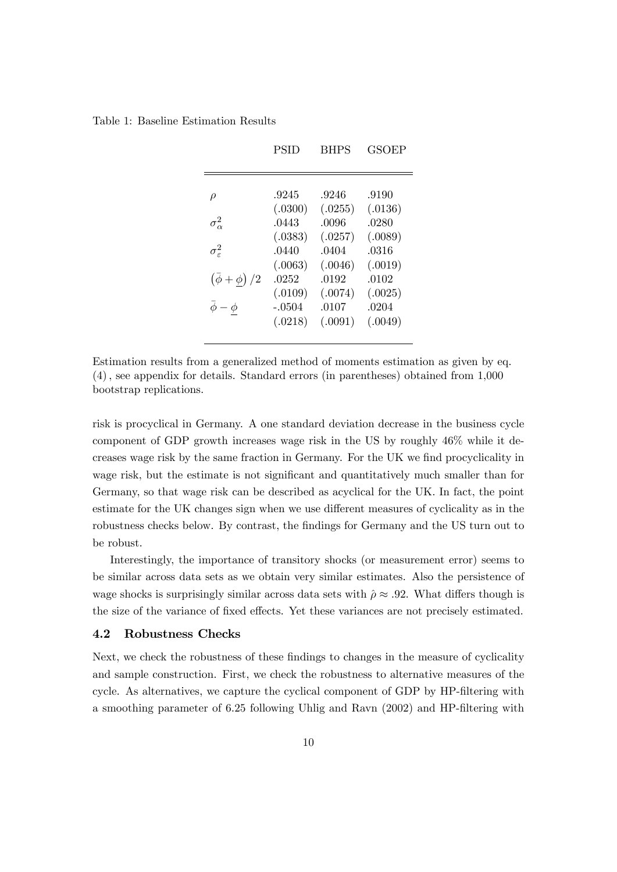Table 1: Baseline Estimation Results

|                                                           | PSID                                                     | <b>BHPS</b>                                              | <b>GSOEP</b>                                             |
|-----------------------------------------------------------|----------------------------------------------------------|----------------------------------------------------------|----------------------------------------------------------|
| $\rho$<br>$\sigma_{\alpha}^2$<br>$\sigma_{\varepsilon}^2$ | .9245<br>(.0300)<br>.0443<br>(.0383)<br>.0440<br>(.0063) | .9246<br>(.0255)<br>.0096<br>(.0257)<br>.0404<br>(.0046) | .9190<br>(.0136)<br>.0280<br>(.0089)<br>.0316<br>(.0019) |
| $(\bar{\phi} + \phi)/2$<br>$\phi - \phi$                  | .0252<br>(.0109)<br>$-.0504$<br>(.0218)                  | .0192<br>(.0074)<br>.0107<br>(.0091)                     | .0102<br>(.0025)<br>.0204<br>(.0049)                     |

Estimation results from a generalized method of moments estimation as given by eq. (4); see appendix for details. Standard errors (in parentheses) obtained from 1,000 bootstrap replications.

risk is procyclical in Germany. A one standard deviation decrease in the business cycle component of GDP growth increases wage risk in the US by roughly 46% while it decreases wage risk by the same fraction in Germany. For the UK we find procyclicality in wage risk, but the estimate is not significant and quantitatively much smaller than for Germany, so that wage risk can be described as acyclical for the UK. In fact, the point estimate for the UK changes sign when we use different measures of cyclicality as in the robustness checks below. By contrast, the findings for Germany and the US turn out to be robust.

Interestingly, the importance of transitory shocks (or measurement error) seems to be similar across data sets as we obtain very similar estimates. Also the persistence of wage shocks is surprisingly similar across data sets with  $\hat{\rho} \approx .92$ . What differs though is the size of the variance of fixed effects. Yet these variances are not precisely estimated.

#### 4.2 Robustness Checks

Next, we check the robustness of these findings to changes in the measure of cyclicality and sample construction. First, we check the robustness to alternative measures of the cycle. As alternatives, we capture the cyclical component of GDP by HP-filtering with a smoothing parameter of 6.25 following Uhlig and Ravn (2002) and HP-filtering with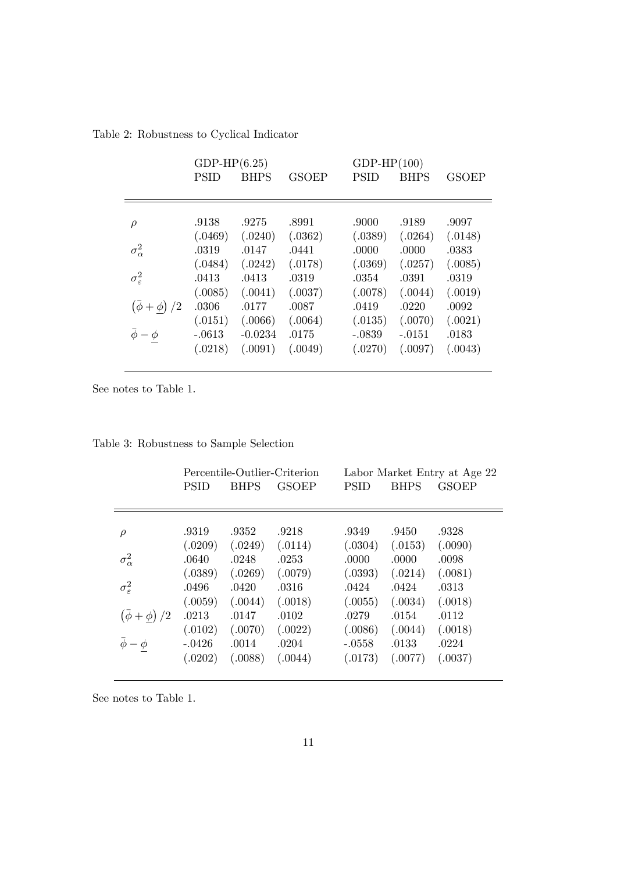Table 2: Robustness to Cyclical Indicator

|                          | $GDP-HP(6.25)$ |             |              | $GDP-HP(100)$ |             |              |
|--------------------------|----------------|-------------|--------------|---------------|-------------|--------------|
|                          | <b>PSID</b>    | <b>BHPS</b> | <b>GSOEP</b> | <b>PSID</b>   | <b>BHPS</b> | <b>GSOEP</b> |
|                          |                |             |              |               |             |              |
|                          |                |             |              |               |             |              |
| $\rho$                   | .9138          | .9275       | .8991        | .9000         | .9189       | .9097        |
|                          | (.0469)        | (.0240)     | (.0362)      | (.0389)       | (.0264)     | (.0148)      |
| $\sigma_{\alpha}^2$      | .0319          | .0147       | .0441        | .0000         | .0000       | .0383        |
|                          | (.0484)        | (.0242)     | (.0178)      | (.0369)       | (.0257)     | (.0085)      |
| $\sigma_{\varepsilon}^2$ | .0413          | .0413       | .0319        | .0354         | .0391       | .0319        |
|                          | (.0085)        | (.0041)     | (.0037)      | (.0078)       | (.0044)     | (.0019)      |
| $(\phi + \phi)/2$        | .0306          | .0177       | .0087        | .0419         | .0220       | .0092        |
|                          | (.0151)        | (.0066)     | (.0064)      | (.0135)       | (.0070)     | (.0021)      |
| $\bar{\phi} - \phi$      | $-.0613$       | $-0.0234$   | .0175        | $-.0839$      | $-.0151$    | .0183        |
|                          | (.0218)        | (.0091)     | (.0049)      | (.0270)       | (.0097)     | (.0043)      |
|                          |                |             |              |               |             |              |

See notes to Table 1.

|                                          | <b>PSID</b>                  | <b>BHPS</b>                 | Percentile-Outlier-Criterion<br><b>GSOEP</b> | <b>PSID</b>                  | <b>BHPS</b>                 | Labor Market Entry at Age 22<br><b>GSOEP</b> |
|------------------------------------------|------------------------------|-----------------------------|----------------------------------------------|------------------------------|-----------------------------|----------------------------------------------|
| $\rho$<br>$\sigma_{\alpha}^2$            | .9319<br>(.0209)<br>.0640    | .9352<br>(.0249)<br>.0248   | .9218<br>(.0114)<br>.0253                    | .9349<br>(.0304)<br>.0000    | .9450<br>(.0153)<br>.0000   | .9328<br>(.0090)<br>.0098                    |
| $\sigma_{\varepsilon}^2$                 | (.0389)<br>.0496<br>(.0059)  | (.0269)<br>.0420<br>(.0044) | (.0079)<br>.0316<br>(.0018)                  | (.0393)<br>.0424<br>(.0055)  | (.0214)<br>.0424<br>(.0034) | (.0081)<br>.0313<br>(.0018)                  |
| $(\bar{\phi} + \phi)/2$<br>$\phi - \phi$ | .0213<br>(.0102)<br>$-.0426$ | .0147<br>(.0070)<br>.0014   | .0102<br>(.0022)<br>.0204                    | .0279<br>(.0086)<br>$-.0558$ | .0154<br>(.0044)<br>.0133   | .0112<br>(.0018)<br>.0224                    |
|                                          | (.0202)                      | (.0088)                     | (.0044)                                      | (.0173)                      | (.0077)                     | (.0037)                                      |

Table 3: Robustness to Sample Selection

See notes to Table 1.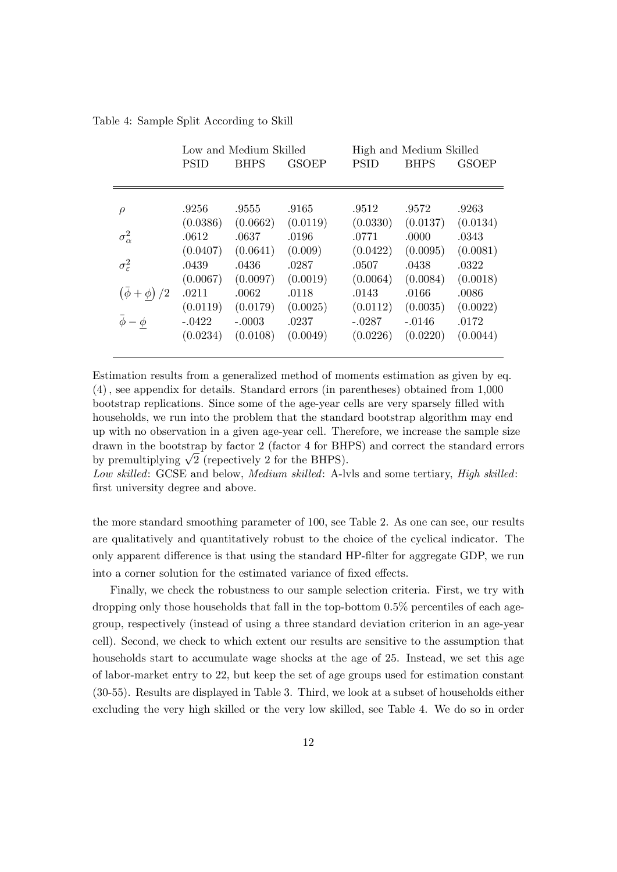Table 4: Sample Split According to Skill

|                          |             | Low and Medium Skilled |              | High and Medium Skilled |             |              |  |  |
|--------------------------|-------------|------------------------|--------------|-------------------------|-------------|--------------|--|--|
|                          | <b>PSID</b> | <b>BHPS</b>            | <b>GSOEP</b> | <b>PSID</b>             | <b>BHPS</b> | <b>GSOEP</b> |  |  |
|                          |             |                        |              |                         |             |              |  |  |
|                          |             |                        |              |                         |             |              |  |  |
| $\rho$                   | .9256       | .9555                  | .9165        | .9512                   | .9572       | .9263        |  |  |
|                          | (0.0386)    | (0.0662)               | (0.0119)     | (0.0330)                | (0.0137)    | (0.0134)     |  |  |
| $\sigma_{\alpha}^2$      | .0612       | .0637                  | .0196        | .0771                   | .0000       | .0343        |  |  |
|                          | (0.0407)    | (0.0641)               | (0.009)      | (0.0422)                | (0.0095)    | (0.0081)     |  |  |
| $\sigma_{\varepsilon}^2$ | .0439       | .0436                  | .0287        | .0507                   | .0438       | .0322        |  |  |
|                          | (0.0067)    | (0.0097)               | (0.0019)     | (0.0064)                | (0.0084)    | (0.0018)     |  |  |
| $(\bar{\phi} + \phi)/2$  | .0211       | .0062                  | .0118        | .0143                   | .0166       | .0086        |  |  |
|                          | (0.0119)    | (0.0179)               | (0.0025)     | (0.0112)                | (0.0035)    | (0.0022)     |  |  |
| $\bar{\phi} - \phi$      | $-.0422$    | $-.0003$               | .0237        | $-.0287$                | $-.0146$    | .0172        |  |  |
|                          | (0.0234)    | (0.0108)               | (0.0049)     | (0.0226)                | (0.0220)    | (0.0044)     |  |  |
|                          |             |                        |              |                         |             |              |  |  |

Estimation results from a generalized method of moments estimation as given by eq. (4); see appendix for details. Standard errors (in parentheses) obtained from 1,000 bootstrap replications. Since some of the age-year cells are very sparsely filled with households, we run into the problem that the standard bootstrap algorithm may end up with no observation in a given age-year cell. Therefore, we increase the sample size drawn in the bootstrap by factor 2 (factor 4 for BHPS) and correct the standard errors by premultiplying  $\sqrt{2}$  (repectively 2 for the BHPS).

Low skilled: GCSE and below, *Medium skilled*: A-lvls and some tertiary, *High skilled*: first university degree and above.

the more standard smoothing parameter of 100, see Table 2. As one can see, our results are qualitatively and quantitatively robust to the choice of the cyclical indicator. The only apparent difference is that using the standard HP-filter for aggregate GDP, we run into a corner solution for the estimated variance of fixed effects.

Finally, we check the robustness to our sample selection criteria. First, we try with dropping only those households that fall in the top-bottom 0.5% percentiles of each agegroup, respectively (instead of using a three standard deviation criterion in an age-year cell). Second, we check to which extent our results are sensitive to the assumption that households start to accumulate wage shocks at the age of 25. Instead, we set this age of labor-market entry to 22, but keep the set of age groups used for estimation constant (30-55). Results are displayed in Table 3. Third, we look at a subset of households either excluding the very high skilled or the very low skilled, see Table 4. We do so in order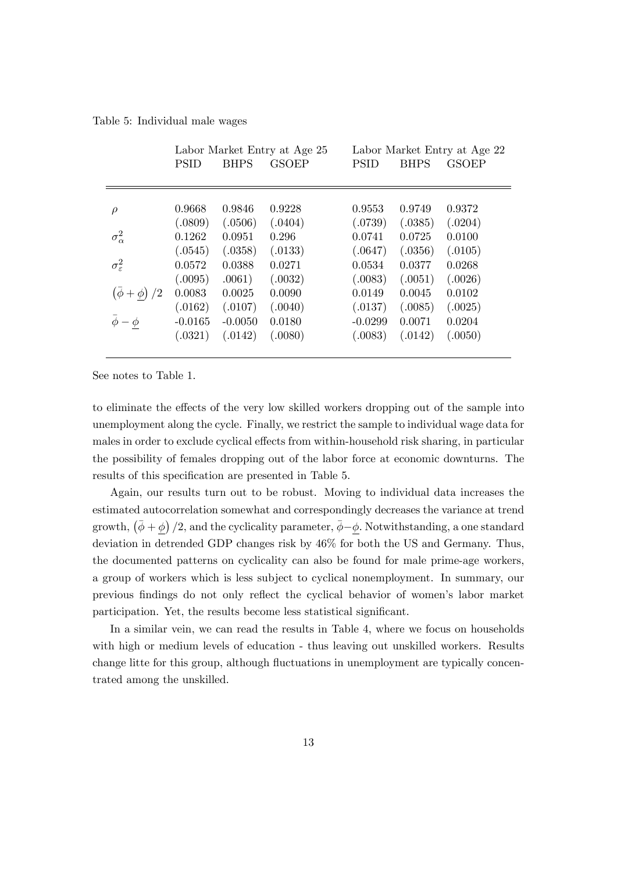Table 5: Individual male wages

|                          |             |             | Labor Market Entry at Age 25 | Labor Market Entry at Age 22 |             |              |  |  |
|--------------------------|-------------|-------------|------------------------------|------------------------------|-------------|--------------|--|--|
|                          | <b>PSID</b> | <b>BHPS</b> | <b>GSOEP</b>                 | <b>PSID</b>                  | <b>BHPS</b> | <b>GSOEP</b> |  |  |
|                          |             |             |                              |                              |             |              |  |  |
|                          |             |             |                              |                              |             |              |  |  |
| $\rho$                   | 0.9668      | 0.9846      | 0.9228                       | 0.9553                       | 0.9749      | 0.9372       |  |  |
|                          | (.0809)     | (.0506)     | (.0404)                      | (.0739)                      | (.0385)     | (.0204)      |  |  |
| $\sigma_{\alpha}^2$      | 0.1262      | 0.0951      | 0.296                        | 0.0741                       | 0.0725      | 0.0100       |  |  |
|                          | (.0545)     | (.0358)     | (.0133)                      | (.0647)                      | (.0356)     | (.0105)      |  |  |
| $\sigma_{\varepsilon}^2$ | 0.0572      | 0.0388      | 0.0271                       | 0.0534                       | 0.0377      | 0.0268       |  |  |
|                          | (.0095)     | .0061)      | (.0032)                      | (.0083)                      | (.0051)     | (.0026)      |  |  |
| $(\bar{\phi} + \phi)/2$  | 0.0083      | 0.0025      | 0.0090                       | 0.0149                       | 0.0045      | 0.0102       |  |  |
|                          | (.0162)     | (.0107)     | (.0040)                      | (.0137)                      | (.0085)     | (.0025)      |  |  |
| $\bar{\phi} - \phi$      | $-0.0165$   | $-0.0050$   | 0.0180                       | $-0.0299$                    | 0.0071      | 0.0204       |  |  |
|                          | (.0321)     | (.0142)     | (.0080)                      | (.0083)                      | (.0142)     | (.0050)      |  |  |
|                          |             |             |                              |                              |             |              |  |  |

See notes to Table 1.

to eliminate the effects of the very low skilled workers dropping out of the sample into unemployment along the cycle. Finally, we restrict the sample to individual wage data for males in order to exclude cyclical effects from within-household risk sharing, in particular the possibility of females dropping out of the labor force at economic downturns. The results of this specification are presented in Table 5.

Again, our results turn out to be robust. Moving to individual data increases the estimated autocorrelation somewhat and correspondingly decreases the variance at trend growth,  $(\bar{\phi} + \underline{\phi})/2$ , and the cyclicality parameter,  $\bar{\phi} - \underline{\phi}$ . Notwithstanding, a one standard deviation in detrended GDP changes risk by 46% for both the US and Germany. Thus, the documented patterns on cyclicality can also be found for male prime-age workers, a group of workers which is less subject to cyclical nonemployment. In summary, our previous Öndings do not only reáect the cyclical behavior of womenís labor market participation. Yet, the results become less statistical significant.

In a similar vein, we can read the results in Table 4, where we focus on households with high or medium levels of education - thus leaving out unskilled workers. Results change litte for this group, although fluctuations in unemployment are typically concentrated among the unskilled.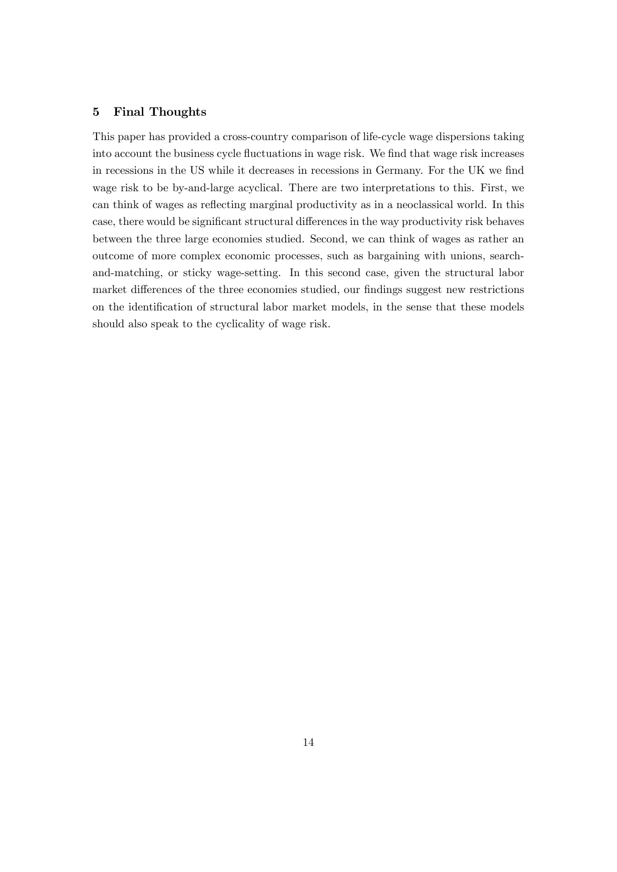#### 5 Final Thoughts

This paper has provided a cross-country comparison of life-cycle wage dispersions taking into account the business cycle fluctuations in wage risk. We find that wage risk increases in recessions in the US while it decreases in recessions in Germany. For the UK we find wage risk to be by-and-large acyclical. There are two interpretations to this. First, we can think of wages as reflecting marginal productivity as in a neoclassical world. In this case, there would be significant structural differences in the way productivity risk behaves between the three large economies studied. Second, we can think of wages as rather an outcome of more complex economic processes, such as bargaining with unions, searchand-matching, or sticky wage-setting. In this second case, given the structural labor market differences of the three economies studied, our findings suggest new restrictions on the identification of structural labor market models, in the sense that these models should also speak to the cyclicality of wage risk.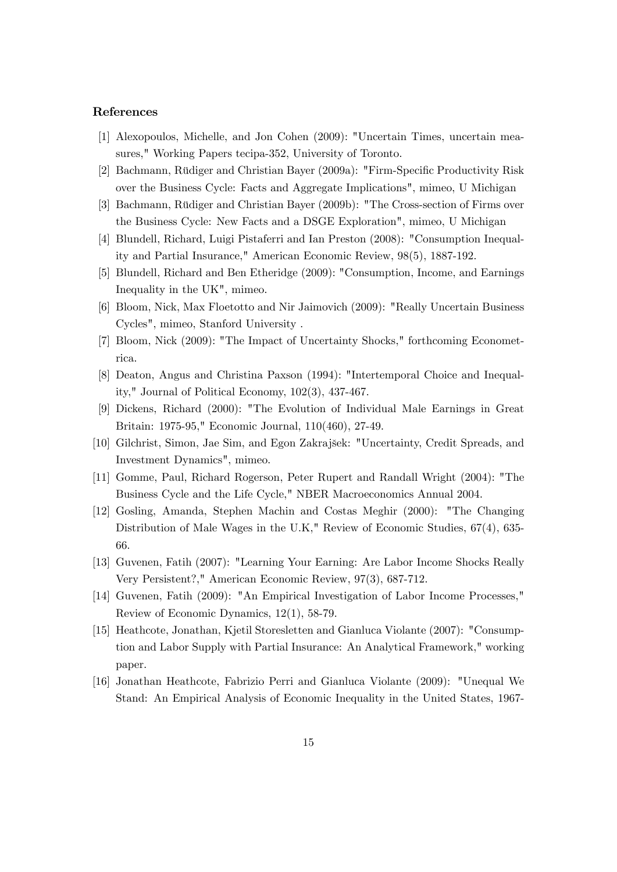#### References

- [1] Alexopoulos, Michelle, and Jon Cohen (2009): "Uncertain Times, uncertain measures," Working Papers tecipa-352, University of Toronto.
- [2] Bachmann, Rüdiger and Christian Bayer (2009a): "Firm-Specific Productivity Risk over the Business Cycle: Facts and Aggregate Implications", mimeo, U Michigan
- [3] Bachmann, Rüdiger and Christian Bayer (2009b): "The Cross-section of Firms over the Business Cycle: New Facts and a DSGE Exploration", mimeo, U Michigan
- [4] Blundell, Richard, Luigi Pistaferri and Ian Preston (2008): "Consumption Inequality and Partial Insurance," American Economic Review, 98(5), 1887-192.
- [5] Blundell, Richard and Ben Etheridge (2009): "Consumption, Income, and Earnings Inequality in the UK", mimeo.
- [6] Bloom, Nick, Max Floetotto and Nir Jaimovich (2009): "Really Uncertain Business Cycles", mimeo, Stanford University .
- [7] Bloom, Nick (2009): "The Impact of Uncertainty Shocks," forthcoming Econometrica.
- [8] Deaton, Angus and Christina Paxson (1994): "Intertemporal Choice and Inequality," Journal of Political Economy, 102(3), 437-467.
- [9] Dickens, Richard (2000): "The Evolution of Individual Male Earnings in Great Britain: 1975-95," Economic Journal, 110(460), 27-49.
- [10] Gilchrist, Simon, Jae Sim, and Egon Zakrajöek: "Uncertainty, Credit Spreads, and Investment Dynamics", mimeo.
- [11] Gomme, Paul, Richard Rogerson, Peter Rupert and Randall Wright (2004): "The Business Cycle and the Life Cycle," NBER Macroeconomics Annual 2004.
- [12] Gosling, Amanda, Stephen Machin and Costas Meghir (2000): "The Changing Distribution of Male Wages in the U.K," Review of Economic Studies, 67(4), 635- 66.
- [13] Guvenen, Fatih (2007): "Learning Your Earning: Are Labor Income Shocks Really Very Persistent?," American Economic Review, 97(3), 687-712.
- [14] Guvenen, Fatih (2009): "An Empirical Investigation of Labor Income Processes," Review of Economic Dynamics, 12(1), 58-79.
- [15] Heathcote, Jonathan, Kjetil Storesletten and Gianluca Violante (2007): "Consumption and Labor Supply with Partial Insurance: An Analytical Framework," working paper.
- [16] Jonathan Heathcote, Fabrizio Perri and Gianluca Violante (2009): "Unequal We Stand: An Empirical Analysis of Economic Inequality in the United States, 1967-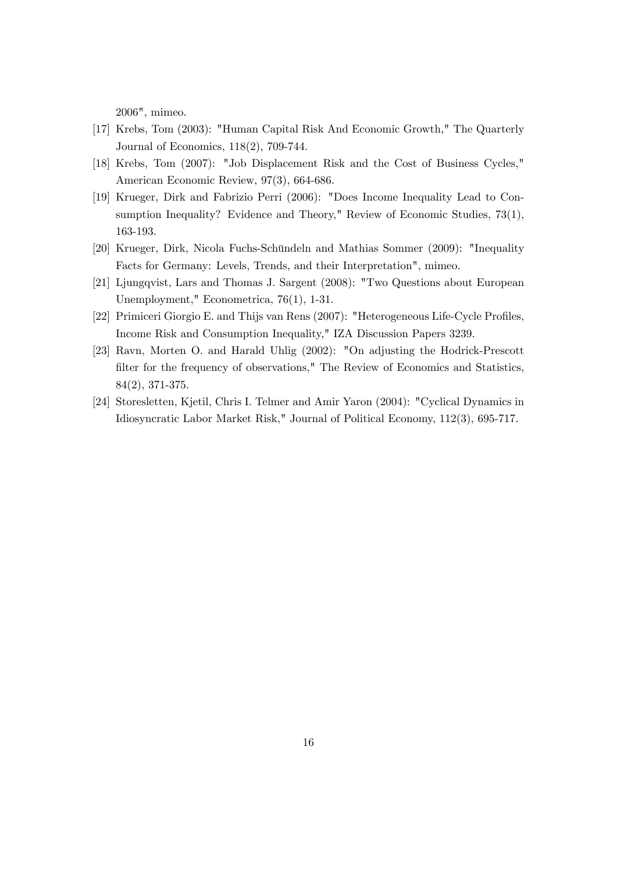2006", mimeo.

- [17] Krebs, Tom (2003): "Human Capital Risk And Economic Growth," The Quarterly Journal of Economics, 118(2), 709-744.
- [18] Krebs, Tom (2007): "Job Displacement Risk and the Cost of Business Cycles," American Economic Review, 97(3), 664-686.
- [19] Krueger, Dirk and Fabrizio Perri (2006): "Does Income Inequality Lead to Consumption Inequality? Evidence and Theory," Review of Economic Studies, 73(1), 163-193.
- [20] Krueger, Dirk, Nicola Fuchs-Schündeln and Mathias Sommer (2009): "Inequality Facts for Germany: Levels, Trends, and their Interpretation", mimeo.
- [21] Ljungqvist, Lars and Thomas J. Sargent (2008): "Two Questions about European Unemployment," Econometrica, 76(1), 1-31.
- [22] Primiceri Giorgio E. and Thijs van Rens (2007): "Heterogeneous Life-Cycle Profiles, Income Risk and Consumption Inequality," IZA Discussion Papers 3239.
- [23] Ravn, Morten O. and Harald Uhlig (2002): "On adjusting the Hodrick-Prescott filter for the frequency of observations," The Review of Economics and Statistics, 84(2), 371-375.
- [24] Storesletten, Kjetil, Chris I. Telmer and Amir Yaron (2004): "Cyclical Dynamics in Idiosyncratic Labor Market Risk," Journal of Political Economy, 112(3), 695-717.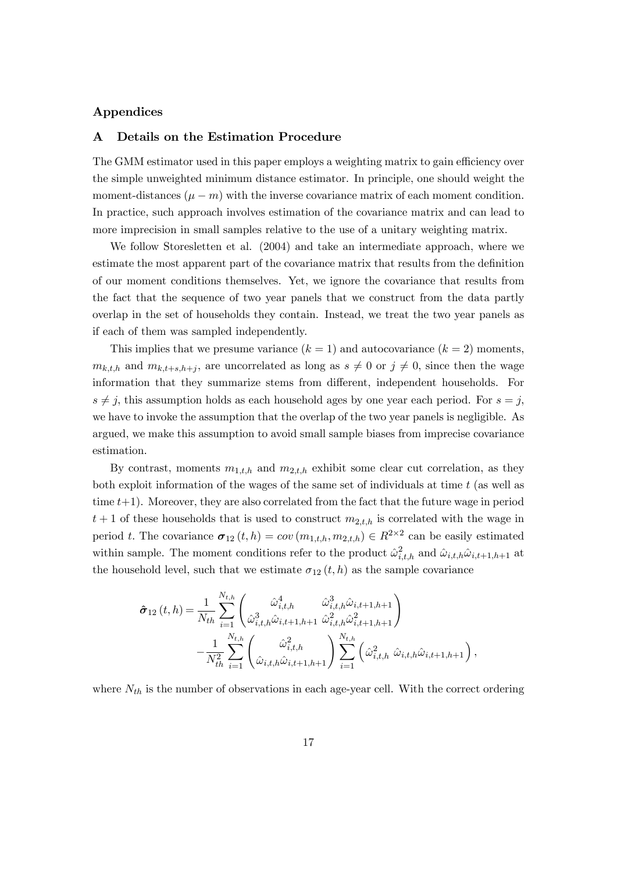#### Appendices

#### A Details on the Estimation Procedure

The GMM estimator used in this paper employs a weighting matrix to gain efficiency over the simple unweighted minimum distance estimator. In principle, one should weight the moment-distances  $(\mu - m)$  with the inverse covariance matrix of each moment condition. In practice, such approach involves estimation of the covariance matrix and can lead to more imprecision in small samples relative to the use of a unitary weighting matrix.

We follow Storesletten et al. (2004) and take an intermediate approach, where we estimate the most apparent part of the covariance matrix that results from the definition of our moment conditions themselves. Yet, we ignore the covariance that results from the fact that the sequence of two year panels that we construct from the data partly overlap in the set of households they contain. Instead, we treat the two year panels as if each of them was sampled independently.

This implies that we presume variance  $(k = 1)$  and autocovariance  $(k = 2)$  moments,  $m_{k,t,h}$  and  $m_{k,t+s,h+j}$ , are uncorrelated as long as  $s \neq 0$  or  $j \neq 0$ , since then the wage information that they summarize stems from different, independent households. For  $s \neq j$ , this assumption holds as each household ages by one year each period. For  $s = j$ , we have to invoke the assumption that the overlap of the two year panels is negligible. As argued, we make this assumption to avoid small sample biases from imprecise covariance estimation.

By contrast, moments  $m_{1,t,h}$  and  $m_{2,t,h}$  exhibit some clear cut correlation, as they both exploit information of the wages of the same set of individuals at time  $t$  (as well as time  $t+1$ ). Moreover, they are also correlated from the fact that the future wage in period  $t+1$  of these households that is used to construct  $m_{2,t,h}$  is correlated with the wage in period t. The covariance  $\sigma_{12}(t, h) = cov(m_{1,t,h}, m_{2,t,h}) \in R^{2 \times 2}$  can be easily estimated within sample. The moment conditions refer to the product  $\hat{\omega}_{i,t,h}^2$  and  $\hat{\omega}_{i,t,h} \hat{\omega}_{i,t+1,h+1}$  at the household level, such that we estimate  $\sigma_{12} (t, h)$  as the sample covariance

$$
\hat{\sigma}_{12}(t,h) = \frac{1}{N_{th}} \sum_{i=1}^{N_{t,h}} \begin{pmatrix} \hat{\omega}_{i,t,h}^4 & \hat{\omega}_{i,t,h}^3 \hat{\omega}_{i,t+1,h+1} \\ \hat{\omega}_{i,t,h}^3 \hat{\omega}_{i,t+1,h+1} & \hat{\omega}_{i,t,h}^2 \hat{\omega}_{i,t+1,h+1}^2 \end{pmatrix} - \frac{1}{N_{th}^2} \sum_{i=1}^{N_{t,h}} \begin{pmatrix} \hat{\omega}_{i,t,h}^2 & \hat{\omega}_{i,t,h}^2 \\ \hat{\omega}_{i,t,h} \hat{\omega}_{i,t+1,h+1} & \sum_{i=1}^{N_{t,h}} \left( \hat{\omega}_{i,t,h}^2 \hat{\omega}_{i,t,h} \hat{\omega}_{i,t+1,h+1} \right) \end{pmatrix}
$$

;

where  $N_{th}$  is the number of observations in each age-year cell. With the correct ordering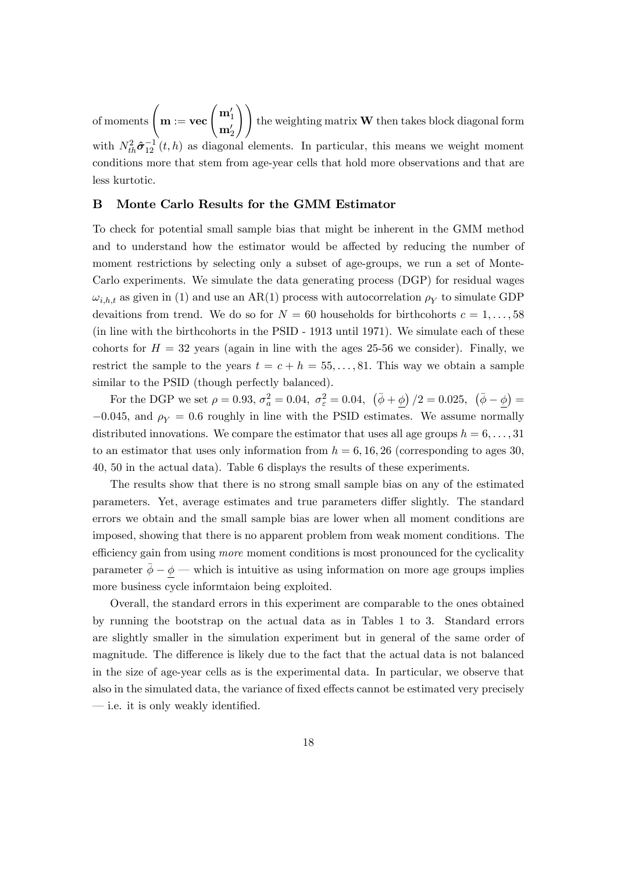of moments  $\left( \mathbf{m} := \mathbf{vec} \left( \frac{\mathbf{m}_1'}{l} \right) \right)$  $\mathbf{m}_2'$  $\setminus$ the weighting matrix  $W$  then takes block diagonal form with  $N_{th}^2 \hat{\sigma}_{12}^{-1}(t, h)$  as diagonal elements. In particular, this means we weight moment conditions more that stem from age-year cells that hold more observations and that are less kurtotic.

#### B Monte Carlo Results for the GMM Estimator

To check for potential small sample bias that might be inherent in the GMM method and to understand how the estimator would be affected by reducing the number of moment restrictions by selecting only a subset of age-groups, we run a set of Monte-Carlo experiments. We simulate the data generating process (DGP) for residual wages  $\omega_{i,h,t}$  as given in (1) and use an AR(1) process with autocorrelation  $\rho_Y$  to simulate GDP devaitions from trend. We do so for  $N = 60$  households for birthcohorts  $c = 1, \ldots, 58$ (in line with the birthcohorts in the PSID - 1913 until 1971). We simulate each of these cohorts for  $H = 32$  years (again in line with the ages 25-56 we consider). Finally, we restrict the sample to the years  $t = c + h = 55, \ldots, 81$ . This way we obtain a sample similar to the PSID (though perfectly balanced).

For the DGP we set  $\rho = 0.93$ ,  $\sigma_a^2 = 0.04$ ,  $\sigma_{\varepsilon}^2 = 0.04$ ,  $(\bar{\phi} + \underline{\phi})/2 = 0.025$ ,  $(\bar{\phi} - \underline{\phi}) =$  $-0.045$ , and  $\rho_Y = 0.6$  roughly in line with the PSID estimates. We assume normally distributed innovations. We compare the estimator that uses all age groups  $h = 6, \ldots, 31$ to an estimator that uses only information from  $h = 6, 16, 26$  (corresponding to ages 30, 40, 50 in the actual data). Table 6 displays the results of these experiments.

The results show that there is no strong small sample bias on any of the estimated parameters. Yet, average estimates and true parameters differ slightly. The standard errors we obtain and the small sample bias are lower when all moment conditions are imposed, showing that there is no apparent problem from weak moment conditions. The efficiency gain from using *more* moment conditions is most pronounced for the cyclicality parameter  $\phi - \phi$  which is intuitive as using information on more age groups implies more business cycle informtaion being exploited.

Overall, the standard errors in this experiment are comparable to the ones obtained by running the bootstrap on the actual data as in Tables 1 to 3. Standard errors are slightly smaller in the simulation experiment but in general of the same order of magnitude. The difference is likely due to the fact that the actual data is not balanced in the size of age-year cells as is the experimental data. In particular, we observe that also in the simulated data, the variance of fixed effects cannot be estimated very precisely  $\overline{\phantom{a}}$  i.e. it is only weakly identified.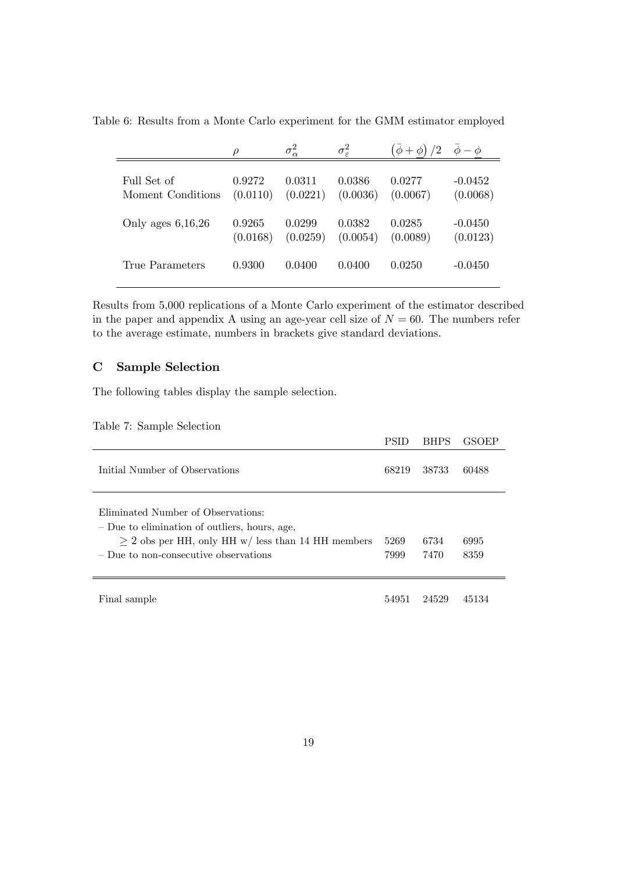Table 6: Results from a Monte Carlo experiment for the GMM estimator employed

|                     | $\rho$   | $\sigma_{\alpha}^2$ | $\sigma_{\varepsilon}^2$ | /2<br>$\phi +$ | $-\phi$   |
|---------------------|----------|---------------------|--------------------------|----------------|-----------|
| Full Set of         | 0.9272   | 0.0311              | 0.0386                   | 0.0277         | $-0.0452$ |
| Moment Conditions   | (0.0110) | (0.0221)            | (0.0036)                 | (0.0067)       | (0.0068)  |
| Only ages $6,16,26$ | 0.9265   | 0.0299              | 0.0382                   | 0.0285         | $-0.0450$ |
|                     | (0.0168) | (0.0259)            | (0.0054)                 | (0.0089)       | (0.0123)  |
| True Parameters     | 0.9300   | 0.0400              | 0.0400                   | 0.0250         | $-0.0450$ |

Results from 5,000 replications of a Monte Carlo experiment of the estimator described in the paper and appendix A using an age-year cell size of  $N = 60$ . The numbers refer to the average estimate, numbers in brackets give standard deviations.

#### C Sample Selection

The following tables display the sample selection.

|  |  | Table 7: Sample Selection |  |  |
|--|--|---------------------------|--|--|
|--|--|---------------------------|--|--|

|                                                                                                                                                                                              | <b>PSID</b>  | <b>BHPS</b>  | <b>GSOEP</b> |
|----------------------------------------------------------------------------------------------------------------------------------------------------------------------------------------------|--------------|--------------|--------------|
| Initial Number of Observations                                                                                                                                                               | 68219        | 38733        | 60488        |
| Eliminated Number of Observations:<br>- Due to elimination of outliers, hours, age,<br>$\geq$ 2 obs per HH, only HH w/ less than 14 HH members<br>$\sim$ Due to non-consecutive observations | 5269<br>7999 | 6734<br>7470 | 6995<br>8359 |
| Final sample                                                                                                                                                                                 | 54951        | 24529        | 45134        |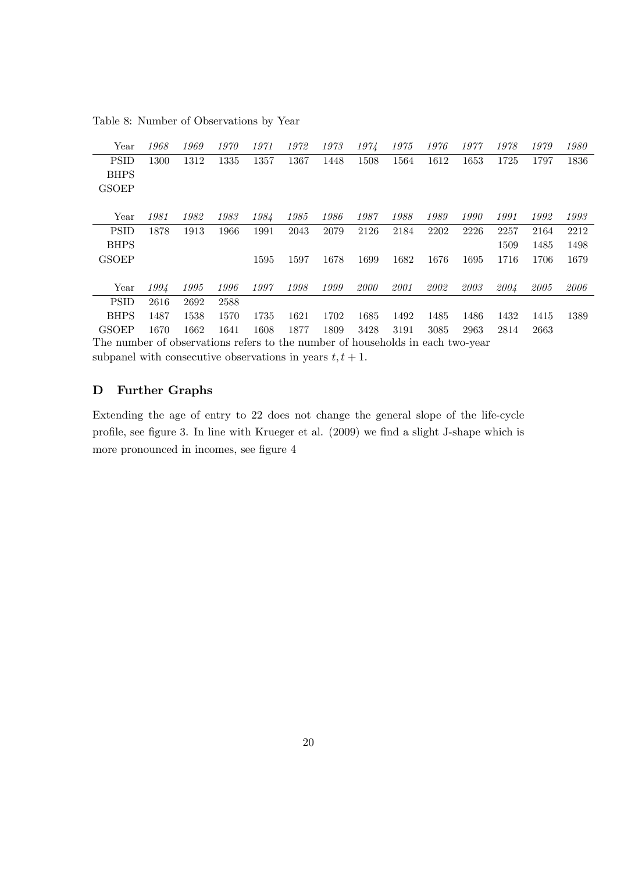Table 8: Number of Observations by Year

| Year                                                                           | 1968                                                       | 1969 | 1970 | 1971 | 1972 | 1973 | 1974 | 1975 | 1976 | 1977 | 1978 | 1979 | 1980 |
|--------------------------------------------------------------------------------|------------------------------------------------------------|------|------|------|------|------|------|------|------|------|------|------|------|
| <b>PSID</b>                                                                    | 1300                                                       | 1312 | 1335 | 1357 | 1367 | 1448 | 1508 | 1564 | 1612 | 1653 | 1725 | 1797 | 1836 |
| <b>BHPS</b>                                                                    |                                                            |      |      |      |      |      |      |      |      |      |      |      |      |
| <b>GSOEP</b>                                                                   |                                                            |      |      |      |      |      |      |      |      |      |      |      |      |
|                                                                                |                                                            |      |      |      |      |      |      |      |      |      |      |      |      |
| Year                                                                           | 1981                                                       | 1982 | 1983 | 1984 | 1985 | 1986 | 1987 | 1988 | 1989 | 1990 | 1991 | 1992 | 1993 |
| <b>PSID</b>                                                                    | 1878                                                       | 1913 | 1966 | 1991 | 2043 | 2079 | 2126 | 2184 | 2202 | 2226 | 2257 | 2164 | 2212 |
| <b>BHPS</b>                                                                    |                                                            |      |      |      |      |      |      |      |      |      | 1509 | 1485 | 1498 |
| <b>GSOEP</b>                                                                   |                                                            |      |      | 1595 | 1597 | 1678 | 1699 | 1682 | 1676 | 1695 | 1716 | 1706 | 1679 |
|                                                                                |                                                            |      |      |      |      |      |      |      |      |      |      |      |      |
| Year                                                                           | 1994                                                       | 1995 | 1996 | 1997 | 1998 | 1999 | 2000 | 2001 | 2002 | 2003 | 2004 | 2005 | 2006 |
| <b>PSID</b>                                                                    | 2616                                                       | 2692 | 2588 |      |      |      |      |      |      |      |      |      |      |
| <b>BHPS</b>                                                                    | 1487                                                       | 1538 | 1570 | 1735 | 1621 | 1702 | 1685 | 1492 | 1485 | 1486 | 1432 | 1415 | 1389 |
| <b>GSOEP</b>                                                                   | 1670                                                       | 1662 | 1641 | 1608 | 1877 | 1809 | 3428 | 3191 | 3085 | 2963 | 2814 | 2663 |      |
| The number of observations refers to the number of households in each two-year |                                                            |      |      |      |      |      |      |      |      |      |      |      |      |
|                                                                                | subpanel with consecutive observations in years $t, t+1$ . |      |      |      |      |      |      |      |      |      |      |      |      |

#### D Further Graphs

Extending the age of entry to 22 does not change the general slope of the life-cycle profile, see figure 3. In line with Krueger et al. (2009) we find a slight J-shape which is more pronounced in incomes, see figure 4